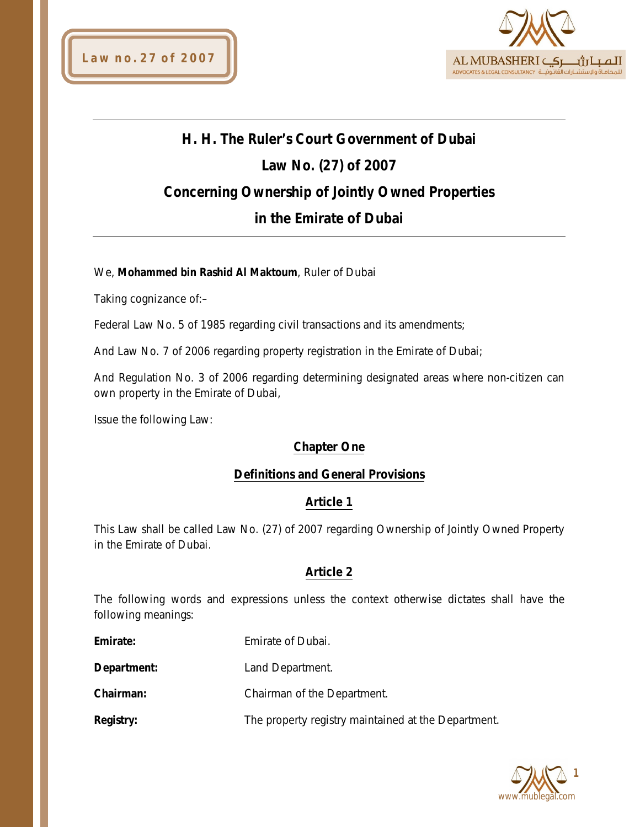

# **H. H. The Ruler's Court Government of Dubai Law No. (27) of 2007 Concerning Ownership of Jointly Owned Properties in the Emirate of Dubai**

#### We, **Mohammed bin Rashid Al Maktoum**, Ruler of Dubai

Taking cognizance of:–

Federal Law No. 5 of 1985 regarding civil transactions and its amendments;

And Law No. 7 of 2006 regarding property registration in the Emirate of Dubai;

And Regulation No. 3 of 2006 regarding determining designated areas where non-citizen can own property in the Emirate of Dubai,

Issue the following Law:

#### **Chapter One**

#### **Definitions and General Provisions**

#### **Article 1**

This Law shall be called Law No. (27) of 2007 regarding Ownership of Jointly Owned Property in the Emirate of Dubai.

#### **Article 2**

The following words and expressions unless the context otherwise dictates shall have the following meanings:

| Emirate: | Emirate of Dubai. |
|----------|-------------------|
|          |                   |

**Department:** Land Department.

**Chairman:** Chairman of the Department.

**Registry:** The property registry maintained at the Department.

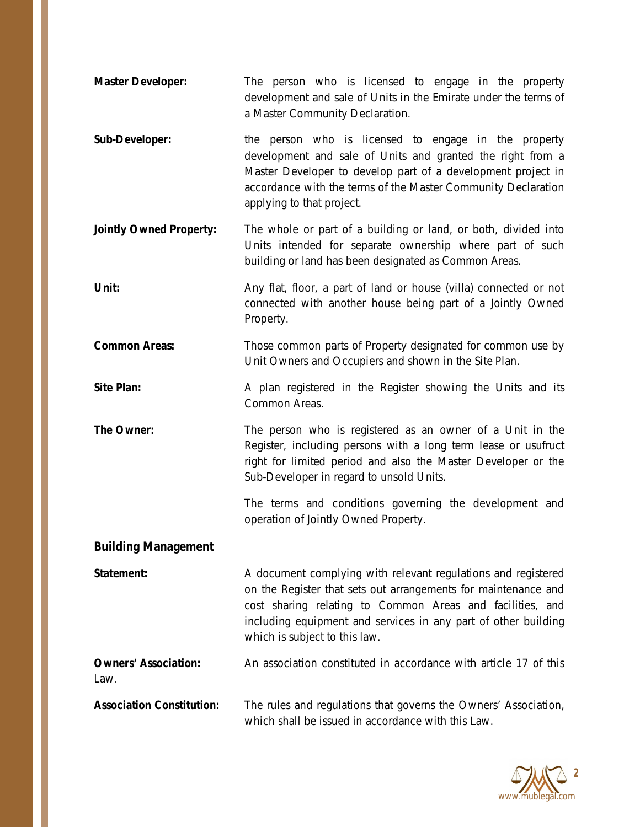- **Master Developer:** The person who is licensed to engage in the property development and sale of Units in the Emirate under the terms of a Master Community Declaration.
- **Sub-Developer:** the person who is licensed to engage in the property development and sale of Units and granted the right from a Master Developer to develop part of a development project in accordance with the terms of the Master Community Declaration applying to that project.
- **Jointly Owned Property:** The whole or part of a building or land, or both, divided into Units intended for separate ownership where part of such building or land has been designated as Common Areas.
- **Unit:** Any flat, floor, a part of land or house (villa) connected or not connected with another house being part of a Jointly Owned Property.
- **Common Areas:** Those common parts of Property designated for common use by Unit Owners and Occupiers and shown in the Site Plan.
- **Site Plan:** A plan registered in the Register showing the Units and its Common Areas.
- **The Owner:** The person who is registered as an owner of a Unit in the Register, including persons with a long term lease or usufruct right for limited period and also the Master Developer or the Sub-Developer in regard to unsold Units.

The terms and conditions governing the development and operation of Jointly Owned Property.

#### **Building Management**

**Statement:** A document complying with relevant regulations and registered on the Register that sets out arrangements for maintenance and cost sharing relating to Common Areas and facilities, and including equipment and services in any part of other building which is subject to this law.

**Owners' Association:** An association constituted in accordance with article 17 of this Law.

**Association Constitution:** The rules and regulations that governs the Owners' Association, which shall be issued in accordance with this Law.

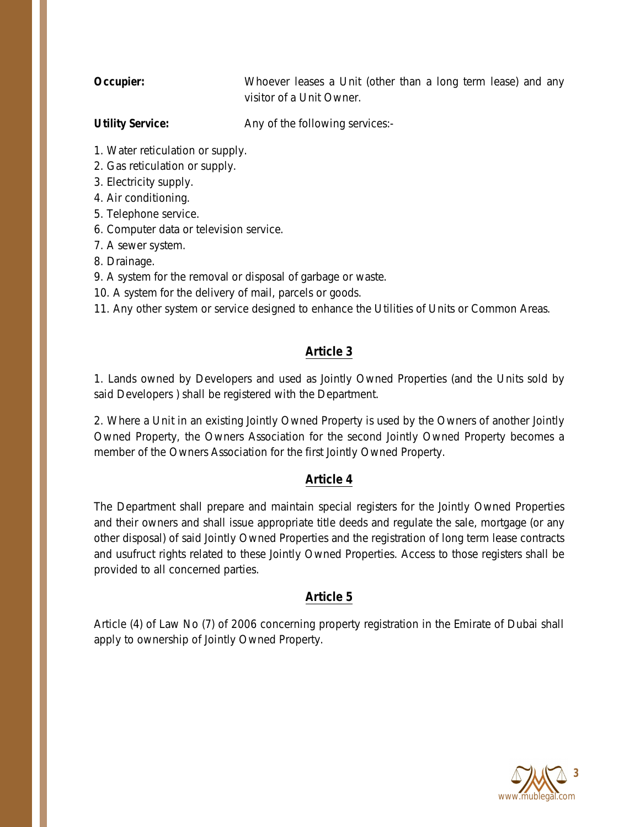**Occupier:** Whoever leases a Unit (other than a long term lease) and any visitor of a Unit Owner.

**Utility Service:** Any of the following services:-

- 1. Water reticulation or supply.
- 2. Gas reticulation or supply.
- 3. Electricity supply.
- 4. Air conditioning.
- 5. Telephone service.
- 6. Computer data or television service.
- 7. A sewer system.
- 8. Drainage.
- 9. A system for the removal or disposal of garbage or waste.
- 10. A system for the delivery of mail, parcels or goods.

11. Any other system or service designed to enhance the Utilities of Units or Common Areas.

### **Article 3**

1. Lands owned by Developers and used as Jointly Owned Properties (and the Units sold by said Developers ) shall be registered with the Department.

2. Where a Unit in an existing Jointly Owned Property is used by the Owners of another Jointly Owned Property, the Owners Association for the second Jointly Owned Property becomes a member of the Owners Association for the first Jointly Owned Property.

#### **Article 4**

The Department shall prepare and maintain special registers for the Jointly Owned Properties and their owners and shall issue appropriate title deeds and regulate the sale, mortgage (or any other disposal) of said Jointly Owned Properties and the registration of long term lease contracts and usufruct rights related to these Jointly Owned Properties. Access to those registers shall be provided to all concerned parties.

#### **Article 5**

Article (4) of Law No (7) of 2006 concerning property registration in the Emirate of Dubai shall apply to ownership of Jointly Owned Property.

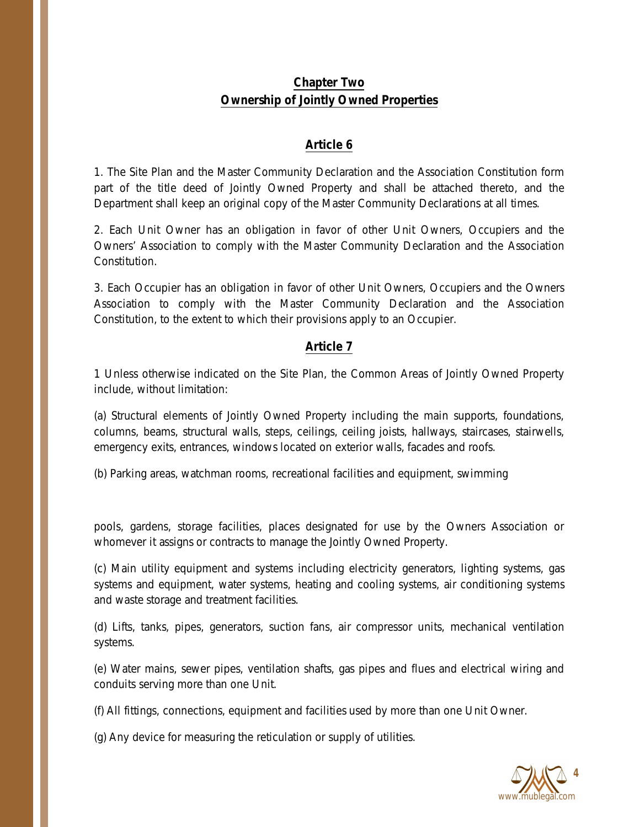# **Chapter Two Ownership of Jointly Owned Properties**

#### **Article 6**

1. The Site Plan and the Master Community Declaration and the Association Constitution form part of the title deed of Jointly Owned Property and shall be attached thereto, and the Department shall keep an original copy of the Master Community Declarations at all times.

2. Each Unit Owner has an obligation in favor of other Unit Owners, Occupiers and the Owners' Association to comply with the Master Community Declaration and the Association Constitution.

3. Each Occupier has an obligation in favor of other Unit Owners, Occupiers and the Owners Association to comply with the Master Community Declaration and the Association Constitution, to the extent to which their provisions apply to an Occupier.

#### **Article 7**

1 Unless otherwise indicated on the Site Plan, the Common Areas of Jointly Owned Property include, without limitation:

(a) Structural elements of Jointly Owned Property including the main supports, foundations, columns, beams, structural walls, steps, ceilings, ceiling joists, hallways, staircases, stairwells, emergency exits, entrances, windows located on exterior walls, facades and roofs.

(b) Parking areas, watchman rooms, recreational facilities and equipment, swimming

pools, gardens, storage facilities, places designated for use by the Owners Association or whomever it assigns or contracts to manage the Jointly Owned Property.

(c) Main utility equipment and systems including electricity generators, lighting systems, gas systems and equipment, water systems, heating and cooling systems, air conditioning systems and waste storage and treatment facilities.

(d) Lifts, tanks, pipes, generators, suction fans, air compressor units, mechanical ventilation systems.

(e) Water mains, sewer pipes, ventilation shafts, gas pipes and flues and electrical wiring and conduits serving more than one Unit.

(f) All fittings, connections, equipment and facilities used by more than one Unit Owner.

(g) Any device for measuring the reticulation or supply of utilities.

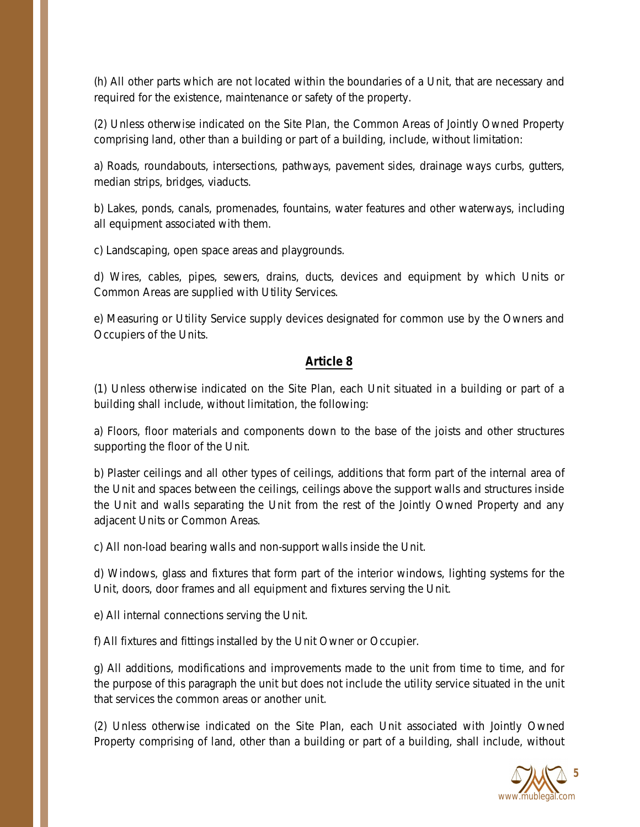(h) All other parts which are not located within the boundaries of a Unit, that are necessary and required for the existence, maintenance or safety of the property.

(2) Unless otherwise indicated on the Site Plan, the Common Areas of Jointly Owned Property comprising land, other than a building or part of a building, include, without limitation:

a) Roads, roundabouts, intersections, pathways, pavement sides, drainage ways curbs, gutters, median strips, bridges, viaducts.

b) Lakes, ponds, canals, promenades, fountains, water features and other waterways, including all equipment associated with them.

c) Landscaping, open space areas and playgrounds.

d) Wires, cables, pipes, sewers, drains, ducts, devices and equipment by which Units or Common Areas are supplied with Utility Services.

e) Measuring or Utility Service supply devices designated for common use by the Owners and Occupiers of the Units.

#### **Article 8**

(1) Unless otherwise indicated on the Site Plan, each Unit situated in a building or part of a building shall include, without limitation, the following:

a) Floors, floor materials and components down to the base of the joists and other structures supporting the floor of the Unit.

b) Plaster ceilings and all other types of ceilings, additions that form part of the internal area of the Unit and spaces between the ceilings, ceilings above the support walls and structures inside the Unit and walls separating the Unit from the rest of the Jointly Owned Property and any adjacent Units or Common Areas.

c) All non-load bearing walls and non-support walls inside the Unit.

d) Windows, glass and fixtures that form part of the interior windows, lighting systems for the Unit, doors, door frames and all equipment and fixtures serving the Unit.

e) All internal connections serving the Unit.

f) All fixtures and fittings installed by the Unit Owner or Occupier.

g) All additions, modifications and improvements made to the unit from time to time, and for the purpose of this paragraph the unit but does not include the utility service situated in the unit that services the common areas or another unit.

(2) Unless otherwise indicated on the Site Plan, each Unit associated with Jointly Owned Property comprising of land, other than a building or part of a building, shall include, without

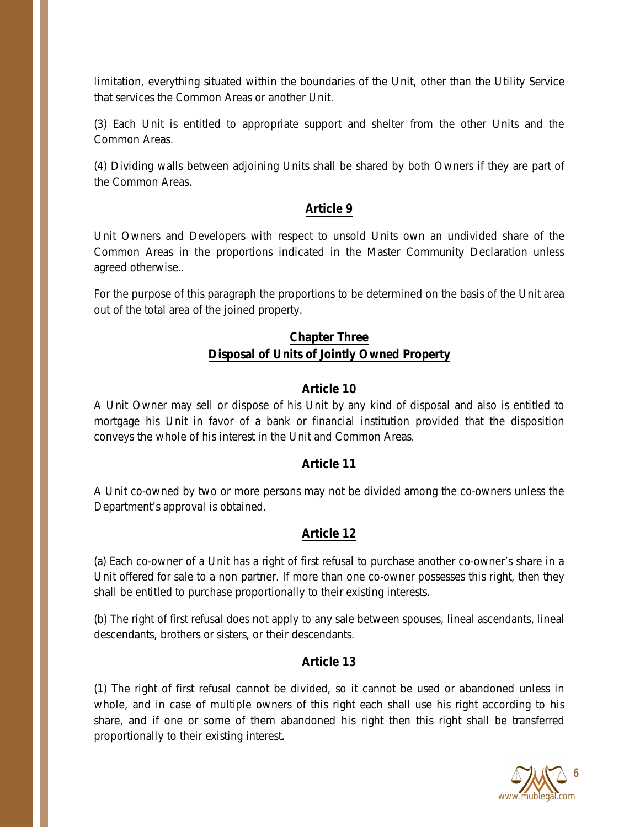limitation, everything situated within the boundaries of the Unit, other than the Utility Service that services the Common Areas or another Unit.

(3) Each Unit is entitled to appropriate support and shelter from the other Units and the Common Areas.

(4) Dividing walls between adjoining Units shall be shared by both Owners if they are part of the Common Areas.

#### **Article 9**

Unit Owners and Developers with respect to unsold Units own an undivided share of the Common Areas in the proportions indicated in the Master Community Declaration unless agreed otherwise..

For the purpose of this paragraph the proportions to be determined on the basis of the Unit area out of the total area of the joined property.

### **Chapter Three Disposal of Units of Jointly Owned Property**

#### **Article 10**

A Unit Owner may sell or dispose of his Unit by any kind of disposal and also is entitled to mortgage his Unit in favor of a bank or financial institution provided that the disposition conveys the whole of his interest in the Unit and Common Areas.

#### **Article 11**

A Unit co-owned by two or more persons may not be divided among the co-owners unless the Department's approval is obtained.

#### **Article 12**

(a) Each co-owner of a Unit has a right of first refusal to purchase another co-owner's share in a Unit offered for sale to a non partner. If more than one co-owner possesses this right, then they shall be entitled to purchase proportionally to their existing interests.

(b) The right of first refusal does not apply to any sale between spouses, lineal ascendants, lineal descendants, brothers or sisters, or their descendants.

#### **Article 13**

(1) The right of first refusal cannot be divided, so it cannot be used or abandoned unless in whole, and in case of multiple owners of this right each shall use his right according to his share, and if one or some of them abandoned his right then this right shall be transferred proportionally to their existing interest.

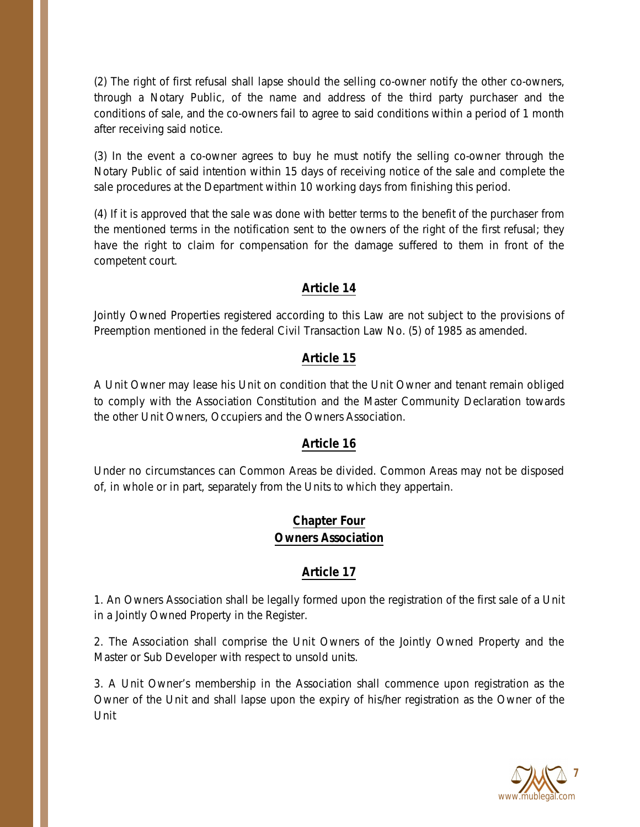(2) The right of first refusal shall lapse should the selling co-owner notify the other co-owners, through a Notary Public, of the name and address of the third party purchaser and the conditions of sale, and the co-owners fail to agree to said conditions within a period of 1 month after receiving said notice.

(3) In the event a co-owner agrees to buy he must notify the selling co-owner through the Notary Public of said intention within 15 days of receiving notice of the sale and complete the sale procedures at the Department within 10 working days from finishing this period.

(4) If it is approved that the sale was done with better terms to the benefit of the purchaser from the mentioned terms in the notification sent to the owners of the right of the first refusal; they have the right to claim for compensation for the damage suffered to them in front of the competent court.

### **Article 14**

Jointly Owned Properties registered according to this Law are not subject to the provisions of Preemption mentioned in the federal Civil Transaction Law No. (5) of 1985 as amended.

### **Article 15**

A Unit Owner may lease his Unit on condition that the Unit Owner and tenant remain obliged to comply with the Association Constitution and the Master Community Declaration towards the other Unit Owners, Occupiers and the Owners Association.

#### **Article 16**

Under no circumstances can Common Areas be divided. Common Areas may not be disposed of, in whole or in part, separately from the Units to which they appertain.

# **Chapter Four Owners Association**

# **Article 17**

1. An Owners Association shall be legally formed upon the registration of the first sale of a Unit in a Jointly Owned Property in the Register.

2. The Association shall comprise the Unit Owners of the Jointly Owned Property and the Master or Sub Developer with respect to unsold units.

3. A Unit Owner's membership in the Association shall commence upon registration as the Owner of the Unit and shall lapse upon the expiry of his/her registration as the Owner of the Unit

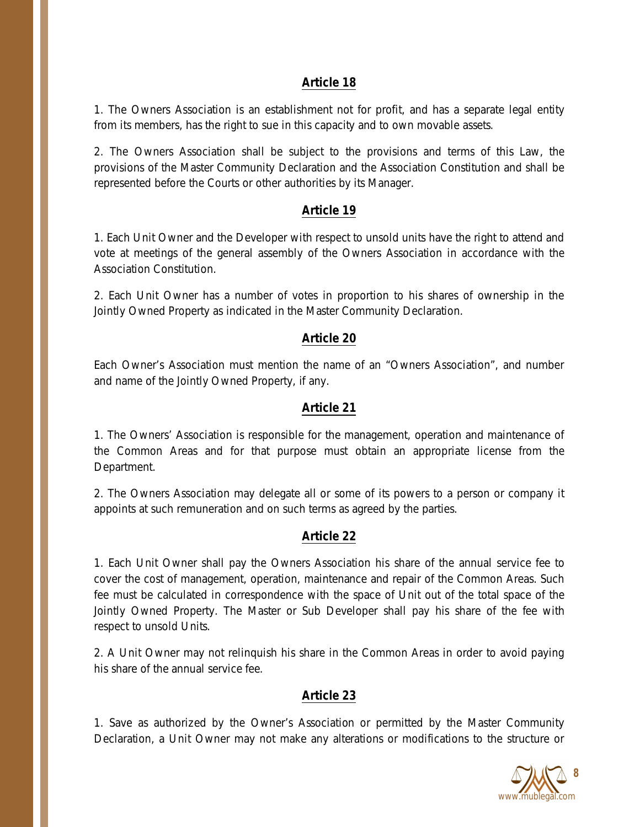#### **Article 18**

1. The Owners Association is an establishment not for profit, and has a separate legal entity from its members, has the right to sue in this capacity and to own movable assets.

2. The Owners Association shall be subject to the provisions and terms of this Law, the provisions of the Master Community Declaration and the Association Constitution and shall be represented before the Courts or other authorities by its Manager.

### **Article 19**

1. Each Unit Owner and the Developer with respect to unsold units have the right to attend and vote at meetings of the general assembly of the Owners Association in accordance with the Association Constitution.

2. Each Unit Owner has a number of votes in proportion to his shares of ownership in the Jointly Owned Property as indicated in the Master Community Declaration.

#### **Article 20**

Each Owner's Association must mention the name of an "Owners Association", and number and name of the Jointly Owned Property, if any.

#### **Article 21**

1. The Owners' Association is responsible for the management, operation and maintenance of the Common Areas and for that purpose must obtain an appropriate license from the Department.

2. The Owners Association may delegate all or some of its powers to a person or company it appoints at such remuneration and on such terms as agreed by the parties.

# **Article 22**

1. Each Unit Owner shall pay the Owners Association his share of the annual service fee to cover the cost of management, operation, maintenance and repair of the Common Areas. Such fee must be calculated in correspondence with the space of Unit out of the total space of the Jointly Owned Property. The Master or Sub Developer shall pay his share of the fee with respect to unsold Units.

2. A Unit Owner may not relinquish his share in the Common Areas in order to avoid paying his share of the annual service fee.

# **Article 23**

1. Save as authorized by the Owner's Association or permitted by the Master Community Declaration, a Unit Owner may not make any alterations or modifications to the structure or

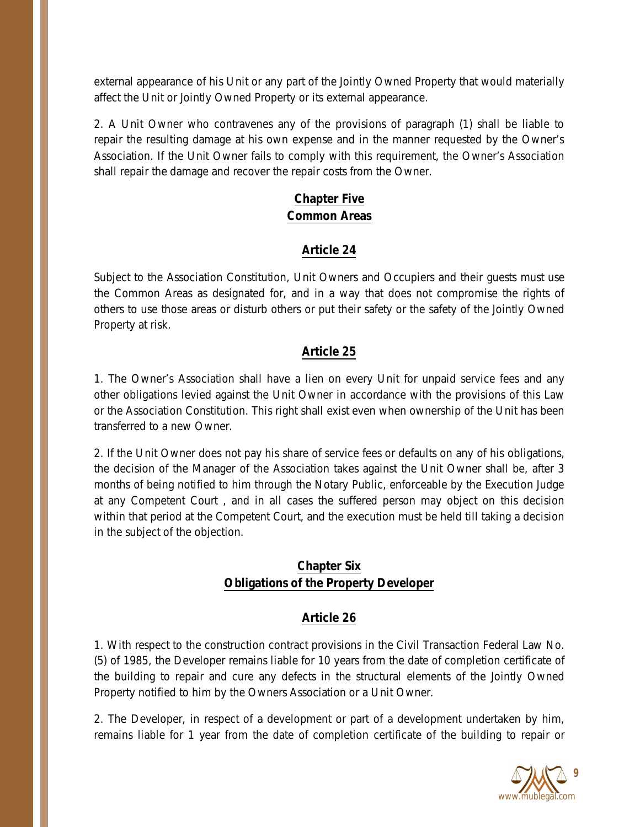external appearance of his Unit or any part of the Jointly Owned Property that would materially affect the Unit or Jointly Owned Property or its external appearance.

2. A Unit Owner who contravenes any of the provisions of paragraph (1) shall be liable to repair the resulting damage at his own expense and in the manner requested by the Owner's Association. If the Unit Owner fails to comply with this requirement, the Owner's Association shall repair the damage and recover the repair costs from the Owner.

# **Chapter Five Common Areas**

# **Article 24**

Subject to the Association Constitution, Unit Owners and Occupiers and their guests must use the Common Areas as designated for, and in a way that does not compromise the rights of others to use those areas or disturb others or put their safety or the safety of the Jointly Owned Property at risk.

# **Article 25**

1. The Owner's Association shall have a lien on every Unit for unpaid service fees and any other obligations levied against the Unit Owner in accordance with the provisions of this Law or the Association Constitution. This right shall exist even when ownership of the Unit has been transferred to a new Owner.

2. If the Unit Owner does not pay his share of service fees or defaults on any of his obligations, the decision of the Manager of the Association takes against the Unit Owner shall be, after 3 months of being notified to him through the Notary Public, enforceable by the Execution Judge at any Competent Court , and in all cases the suffered person may object on this decision within that period at the Competent Court, and the execution must be held till taking a decision in the subject of the objection.

# **Chapter Six Obligations of the Property Developer**

# **Article 26**

1. With respect to the construction contract provisions in the Civil Transaction Federal Law No. (5) of 1985, the Developer remains liable for 10 years from the date of completion certificate of the building to repair and cure any defects in the structural elements of the Jointly Owned Property notified to him by the Owners Association or a Unit Owner.

2. The Developer, in respect of a development or part of a development undertaken by him, remains liable for 1 year from the date of completion certificate of the building to repair or

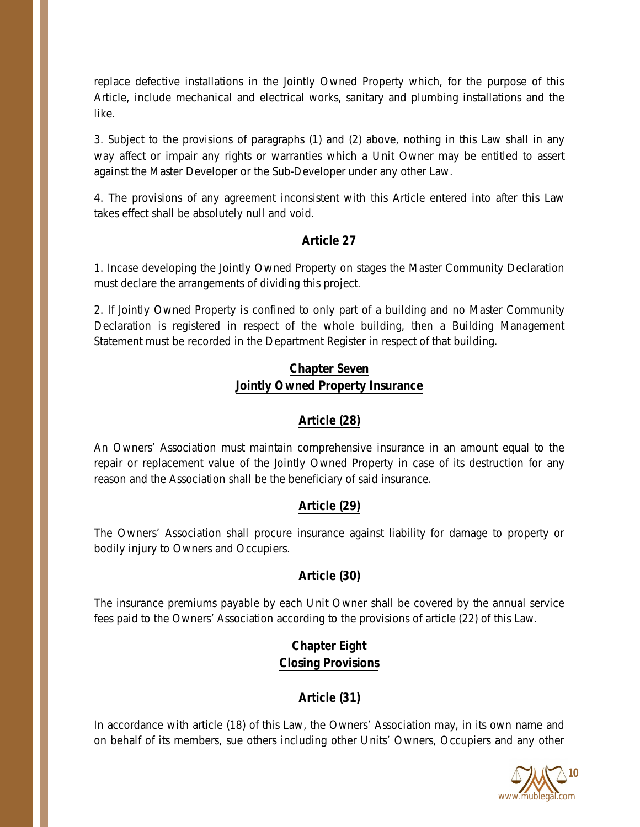replace defective installations in the Jointly Owned Property which, for the purpose of this Article, include mechanical and electrical works, sanitary and plumbing installations and the like.

3. Subject to the provisions of paragraphs (1) and (2) above, nothing in this Law shall in any way affect or impair any rights or warranties which a Unit Owner may be entitled to assert against the Master Developer or the Sub-Developer under any other Law.

4. The provisions of any agreement inconsistent with this Article entered into after this Law takes effect shall be absolutely null and void.

# **Article 27**

1. Incase developing the Jointly Owned Property on stages the Master Community Declaration must declare the arrangements of dividing this project.

2. If Jointly Owned Property is confined to only part of a building and no Master Community Declaration is registered in respect of the whole building, then a Building Management Statement must be recorded in the Department Register in respect of that building.

# **Chapter Seven Jointly Owned Property Insurance**

# **Article (28)**

An Owners' Association must maintain comprehensive insurance in an amount equal to the repair or replacement value of the Jointly Owned Property in case of its destruction for any reason and the Association shall be the beneficiary of said insurance.

# **Article (29)**

The Owners' Association shall procure insurance against liability for damage to property or bodily injury to Owners and Occupiers.

# **Article (30)**

The insurance premiums payable by each Unit Owner shall be covered by the annual service fees paid to the Owners' Association according to the provisions of article (22) of this Law.

# **Chapter Eight Closing Provisions**

# **Article (31)**

In accordance with article (18) of this Law, the Owners' Association may, in its own name and on behalf of its members, sue others including other Units' Owners, Occupiers and any other

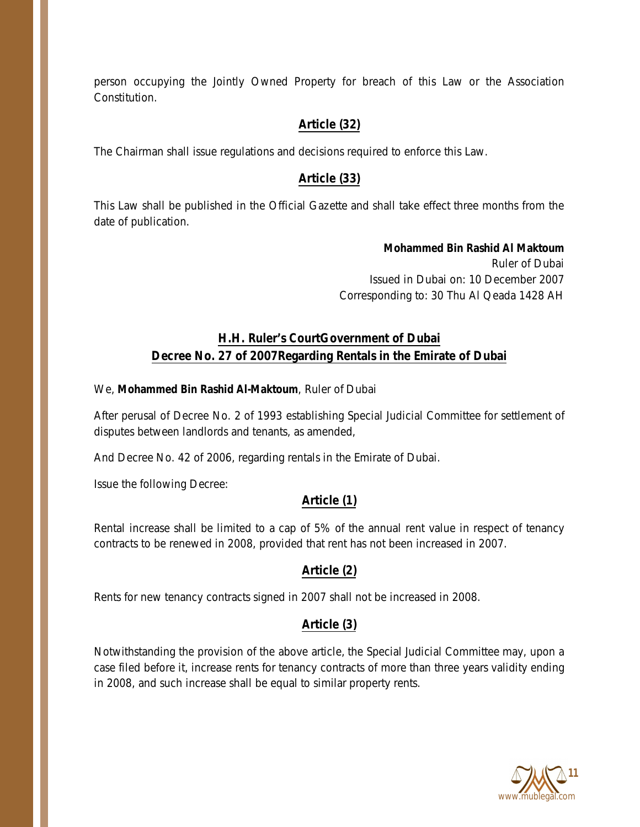person occupying the Jointly Owned Property for breach of this Law or the Association Constitution.

# **Article (32)**

The Chairman shall issue regulations and decisions required to enforce this Law.

# **Article (33)**

This Law shall be published in the Official Gazette and shall take effect three months from the date of publication.

> **Mohammed Bin Rashid Al Maktoum** Ruler of Dubai Issued in Dubai on: 10 December 2007 Corresponding to: 30 Thu Al Qeada 1428 AH

# **H.H. Ruler's CourtGovernment of Dubai Decree No. 27 of 2007Regarding Rentals in the Emirate of Dubai**

#### We, **Mohammed Bin Rashid Al-Maktoum**, Ruler of Dubai

After perusal of Decree No. 2 of 1993 establishing Special Judicial Committee for settlement of disputes between landlords and tenants, as amended,

And Decree No. 42 of 2006, regarding rentals in the Emirate of Dubai.

Issue the following Decree:

# **Article (1)**

Rental increase shall be limited to a cap of 5% of the annual rent value in respect of tenancy contracts to be renewed in 2008, provided that rent has not been increased in 2007.

# **Article (2)**

Rents for new tenancy contracts signed in 2007 shall not be increased in 2008.

# **Article (3)**

Notwithstanding the provision of the above article, the Special Judicial Committee may, upon a case filed before it, increase rents for tenancy contracts of more than three years validity ending in 2008, and such increase shall be equal to similar property rents.